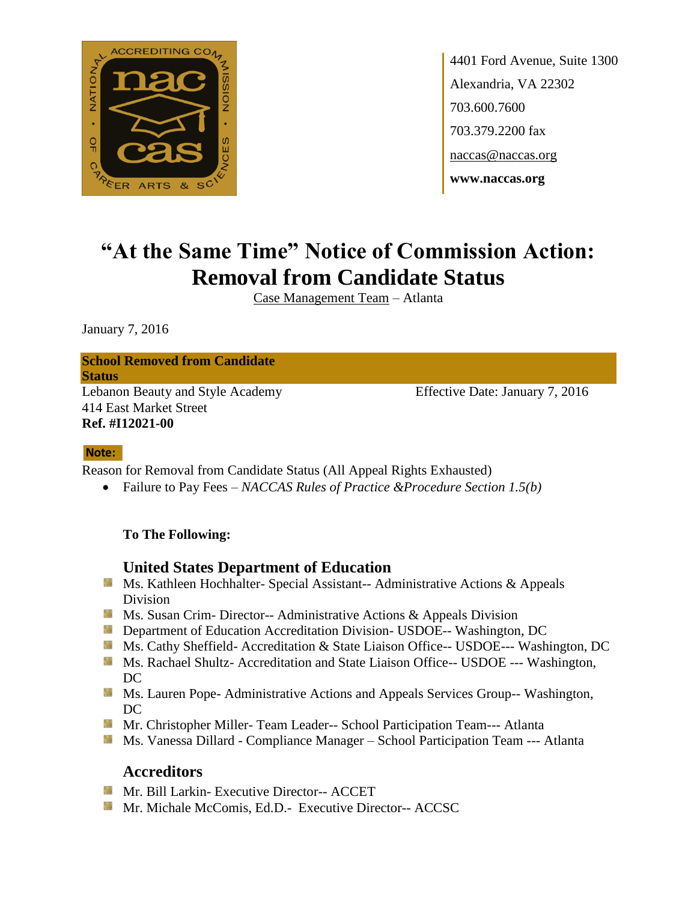

4401 Ford Avenue, Suite 1300 Alexandria, VA 22302 703.600.7600 703.379.2200 fax naccas@naccas.org **www.naccas.org**

# **"At the Same Time" Notice of Commission Action: Removal from Candidate Status**

Case Management Team – Atlanta

January 7, 2016

# **School Removed from Candidate**

**Status**

Lebanon Beauty and Style Academy Effective Date: January 7, 2016 414 East Market Street **Ref. #I12021-00**

#### **Note:**

Reason for Removal from Candidate Status (All Appeal Rights Exhausted)

Failure to Pay Fees – *NACCAS Rules of Practice &Procedure Section 1.5(b)*

#### **To The Following:**

#### **United States Department of Education**

- **MS. Kathleen Hochhalter- Special Assistant-- Administrative Actions & Appeals** Division
- **Ms.** Susan Crim-Director-- Administrative Actions & Appeals Division
- **Department of Education Accreditation Division- USDOE-- Washington, DC**
- Ms. Cathy Sheffield- Accreditation & State Liaison Office-- USDOE--- Washington, DC
- **Ms. Rachael Shultz- Accreditation and State Liaison Office-- USDOE --- Washington,** DC
- **Ms. Lauren Pope- Administrative Actions and Appeals Services Group-- Washington,** DC
- **Mr. Christopher Miller-Team Leader-- School Participation Team--- Atlanta**
- **Ms. Vanessa Dillard Compliance Manager School Participation Team --- Atlanta**

#### **Accreditors**

- **Mr. Bill Larkin- Executive Director-- ACCET**
- Mr. Michale McComis, Ed.D.- Executive Director-- ACCSC